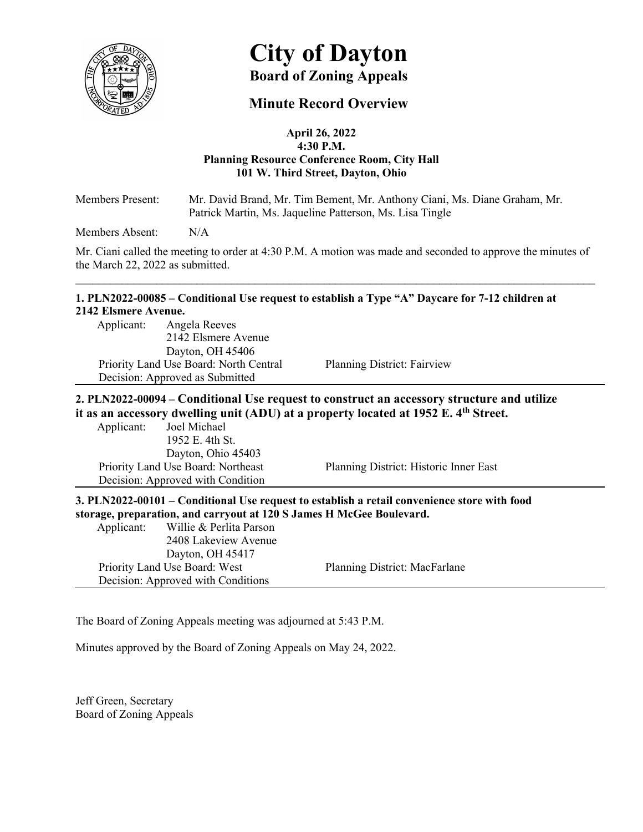

## **Minute Record Overview**

#### **April 26, 2022 4:30 P.M. Planning Resource Conference Room, City Hall 101 W. Third Street, Dayton, Ohio**

Members Present: Mr. David Brand, Mr. Tim Bement, Mr. Anthony Ciani, Ms. Diane Graham, Mr. Patrick Martin, Ms. Jaqueline Patterson, Ms. Lisa Tingle

Members Absent: N/A

Mr. Ciani called the meeting to order at 4:30 P.M. A motion was made and seconded to approve the minutes of the March 22, 2022 as submitted.

\_\_\_\_\_\_\_\_\_\_\_\_\_\_\_\_\_\_\_\_\_\_\_\_\_\_\_\_\_\_\_\_\_\_\_\_\_\_\_\_\_\_\_\_\_\_\_\_\_\_\_\_\_\_\_\_\_\_\_\_\_\_\_\_\_\_\_\_\_\_\_\_\_\_\_\_\_\_\_\_\_\_\_\_\_\_\_\_\_\_

#### **1. PLN2022-00085 – Conditional Use request to establish a Type "A" Daycare for 7-12 children at 2142 Elsmere Avenue.**

Applicant: Angela Reeves 2142 Elsmere Avenue Dayton, OH 45406 Priority Land Use Board: North Central Planning District: Fairview Decision: Approved as Submitted

## **2. PLN2022-00094 – Conditional Use request to construct an accessory structure and utilize it as an accessory dwelling unit (ADU) at a property located at 1952 E. 4th Street.**

Applicant: Joel Michael 1952 E. 4th St. Dayton, Ohio 45403 Decision: Approved with Condition

Priority Land Use Board: Northeast Planning District: Historic Inner East

**3. PLN2022-00101 – Conditional Use request to establish a retail convenience store with food storage, preparation, and carryout at 120 S James H McGee Boulevard.** 

|            |                                    | $\cdots$ , $\cdots$ , $\cdots$ , $\cdots$ , $\cdots$ , $\cdots$ , $\cdots$ , $\cdots$ , $\cdots$ , $\cdots$ , $\cdots$ , $\cdots$ , $\cdots$ , $\cdots$ , $\cdots$ , $\cdots$ , $\cdots$ , $\cdots$ , $\cdots$ , $\cdots$ , $\cdots$ , $\cdots$ , $\cdots$ , $\cdots$ , $\cdots$ , $\cdots$ , $\cdots$ , $\cdots$ , $\cdots$ , $\cdots$ , $\cdots$ , $\cdots$ |
|------------|------------------------------------|---------------------------------------------------------------------------------------------------------------------------------------------------------------------------------------------------------------------------------------------------------------------------------------------------------------------------------------------------------------|
| Applicant: | Willie & Perlita Parson            |                                                                                                                                                                                                                                                                                                                                                               |
|            | 2408 Lakeview Avenue               |                                                                                                                                                                                                                                                                                                                                                               |
|            | Dayton, OH 45417                   |                                                                                                                                                                                                                                                                                                                                                               |
|            | Priority Land Use Board: West      | Planning District: MacFarlane                                                                                                                                                                                                                                                                                                                                 |
|            | Decision: Approved with Conditions |                                                                                                                                                                                                                                                                                                                                                               |

The Board of Zoning Appeals meeting was adjourned at 5:43 P.M.

Minutes approved by the Board of Zoning Appeals on May 24, 2022.

Jeff Green, Secretary Board of Zoning Appeals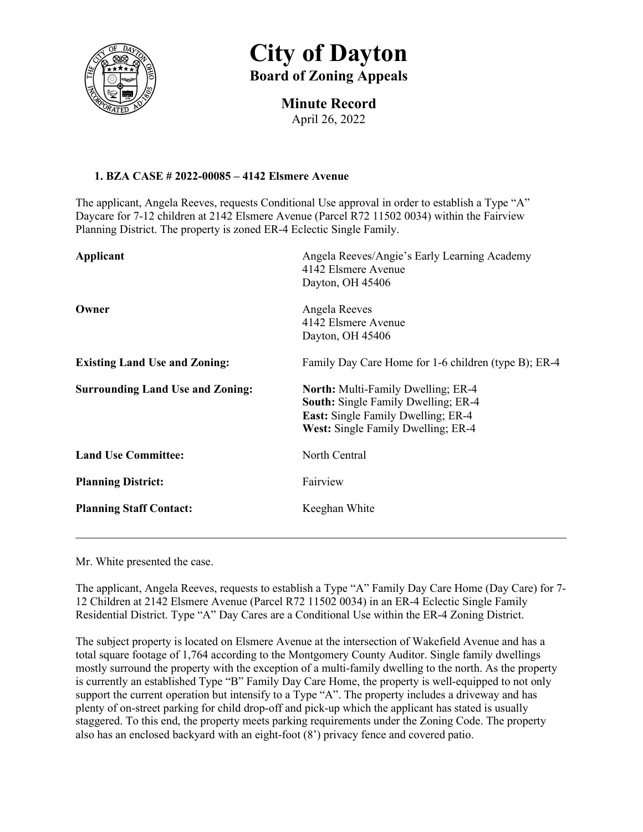

# **Minute Record**

April 26, 2022

## **1. BZA CASE # 2022-00085 – 4142 Elsmere Avenue**

The applicant, Angela Reeves, requests Conditional Use approval in order to establish a Type "A" Daycare for 7-12 children at 2142 Elsmere Avenue (Parcel R72 11502 0034) within the Fairview Planning District. The property is zoned ER-4 Eclectic Single Family.

| Applicant                               | Angela Reeves/Angie's Early Learning Academy<br>4142 Elsmere Avenue<br>Dayton, OH 45406                                                                                           |
|-----------------------------------------|-----------------------------------------------------------------------------------------------------------------------------------------------------------------------------------|
| Owner                                   | Angela Reeves<br>4142 Elsmere Avenue<br>Dayton, OH 45406                                                                                                                          |
| <b>Existing Land Use and Zoning:</b>    | Family Day Care Home for 1-6 children (type B); ER-4                                                                                                                              |
| <b>Surrounding Land Use and Zoning:</b> | <b>North:</b> Multi-Family Dwelling; ER-4<br><b>South:</b> Single Family Dwelling; ER-4<br><b>East:</b> Single Family Dwelling; ER-4<br><b>West:</b> Single Family Dwelling; ER-4 |
| <b>Land Use Committee:</b>              | North Central                                                                                                                                                                     |
| <b>Planning District:</b>               | Fairview                                                                                                                                                                          |
| <b>Planning Staff Contact:</b>          | Keeghan White                                                                                                                                                                     |

Mr. White presented the case.

The applicant, Angela Reeves, requests to establish a Type "A" Family Day Care Home (Day Care) for 7- 12 Children at 2142 Elsmere Avenue (Parcel R72 11502 0034) in an ER-4 Eclectic Single Family Residential District. Type "A" Day Cares are a Conditional Use within the ER-4 Zoning District.

The subject property is located on Elsmere Avenue at the intersection of Wakefield Avenue and has a total square footage of 1,764 according to the Montgomery County Auditor. Single family dwellings mostly surround the property with the exception of a multi-family dwelling to the north. As the property is currently an established Type "B" Family Day Care Home, the property is well-equipped to not only support the current operation but intensify to a Type "A". The property includes a driveway and has plenty of on-street parking for child drop-off and pick-up which the applicant has stated is usually staggered. To this end, the property meets parking requirements under the Zoning Code. The property also has an enclosed backyard with an eight-foot (8') privacy fence and covered patio.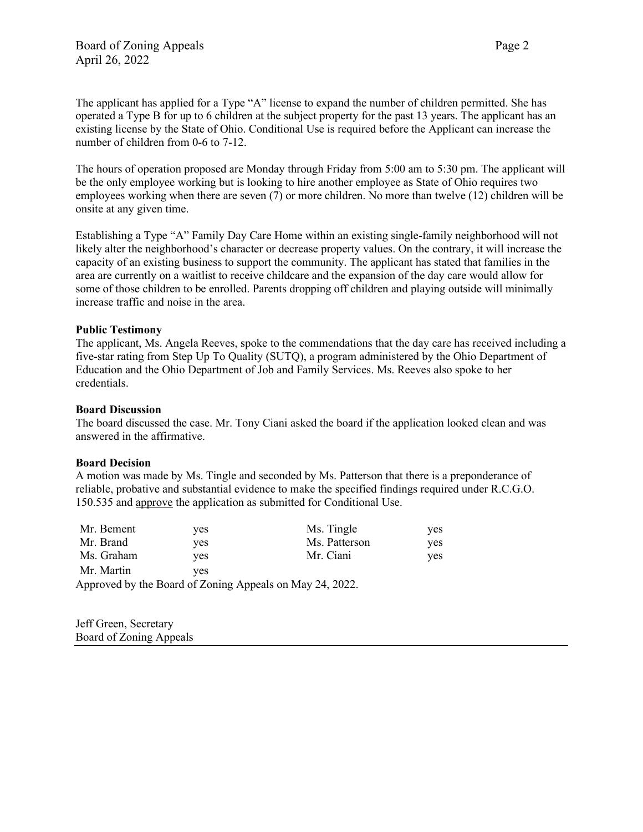The applicant has applied for a Type "A" license to expand the number of children permitted. She has operated a Type B for up to 6 children at the subject property for the past 13 years. The applicant has an existing license by the State of Ohio. Conditional Use is required before the Applicant can increase the number of children from 0-6 to 7-12.

The hours of operation proposed are Monday through Friday from 5:00 am to 5:30 pm. The applicant will be the only employee working but is looking to hire another employee as State of Ohio requires two employees working when there are seven (7) or more children. No more than twelve (12) children will be onsite at any given time.

Establishing a Type "A" Family Day Care Home within an existing single-family neighborhood will not likely alter the neighborhood's character or decrease property values. On the contrary, it will increase the capacity of an existing business to support the community. The applicant has stated that families in the area are currently on a waitlist to receive childcare and the expansion of the day care would allow for some of those children to be enrolled. Parents dropping off children and playing outside will minimally increase traffic and noise in the area.

#### **Public Testimony**

The applicant, Ms. Angela Reeves, spoke to the commendations that the day care has received including a five-star rating from Step Up To Quality (SUTQ), a program administered by the Ohio Department of Education and the Ohio Department of Job and Family Services. Ms. Reeves also spoke to her credentials.

#### **Board Discussion**

The board discussed the case. Mr. Tony Ciani asked the board if the application looked clean and was answered in the affirmative.

#### **Board Decision**

A motion was made by Ms. Tingle and seconded by Ms. Patterson that there is a preponderance of reliable, probative and substantial evidence to make the specified findings required under R.C.G.O. 150.535 and approve the application as submitted for Conditional Use.

| Mr. Bement | yes | Ms. Tingle                                               | ves |
|------------|-----|----------------------------------------------------------|-----|
| Mr. Brand  | ves | Ms. Patterson                                            | ves |
| Ms. Graham | ves | Mr. Ciani                                                | ves |
| Mr. Martin | ves |                                                          |     |
|            |     | Approved by the Board of Zoning Appeals on May 24, 2022. |     |

Jeff Green, Secretary Board of Zoning Appeals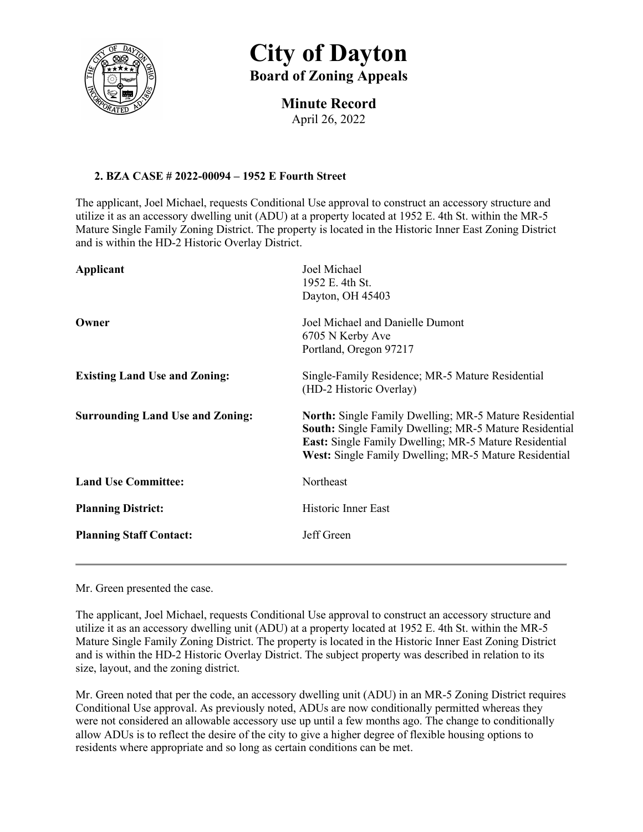

**Minute Record** April 26, 2022

## **2. BZA CASE # 2022-00094 – 1952 E Fourth Street**

The applicant, Joel Michael, requests Conditional Use approval to construct an accessory structure and utilize it as an accessory dwelling unit (ADU) at a property located at 1952 E. 4th St. within the MR-5 Mature Single Family Zoning District. The property is located in the Historic Inner East Zoning District and is within the HD-2 Historic Overlay District.

| Applicant                               | Joel Michael<br>1952 E. 4th St.<br>Dayton, OH 45403                                                                                                                                                                                                     |
|-----------------------------------------|---------------------------------------------------------------------------------------------------------------------------------------------------------------------------------------------------------------------------------------------------------|
| Owner                                   | Joel Michael and Danielle Dumont<br>6705 N Kerby Ave<br>Portland, Oregon 97217                                                                                                                                                                          |
| <b>Existing Land Use and Zoning:</b>    | Single-Family Residence; MR-5 Mature Residential<br>(HD-2 Historic Overlay)                                                                                                                                                                             |
| <b>Surrounding Land Use and Zoning:</b> | <b>North:</b> Single Family Dwelling; MR-5 Mature Residential<br><b>South:</b> Single Family Dwelling; MR-5 Mature Residential<br><b>East:</b> Single Family Dwelling; MR-5 Mature Residential<br>West: Single Family Dwelling; MR-5 Mature Residential |
| <b>Land Use Committee:</b>              | Northeast                                                                                                                                                                                                                                               |
| <b>Planning District:</b>               | Historic Inner East                                                                                                                                                                                                                                     |
| <b>Planning Staff Contact:</b>          | Jeff Green                                                                                                                                                                                                                                              |
|                                         |                                                                                                                                                                                                                                                         |

Mr. Green presented the case.

The applicant, Joel Michael, requests Conditional Use approval to construct an accessory structure and utilize it as an accessory dwelling unit (ADU) at a property located at 1952 E. 4th St. within the MR-5 Mature Single Family Zoning District. The property is located in the Historic Inner East Zoning District and is within the HD-2 Historic Overlay District. The subject property was described in relation to its size, layout, and the zoning district.

Mr. Green noted that per the code, an accessory dwelling unit (ADU) in an MR-5 Zoning District requires Conditional Use approval. As previously noted, ADUs are now conditionally permitted whereas they were not considered an allowable accessory use up until a few months ago. The change to conditionally allow ADUs is to reflect the desire of the city to give a higher degree of flexible housing options to residents where appropriate and so long as certain conditions can be met.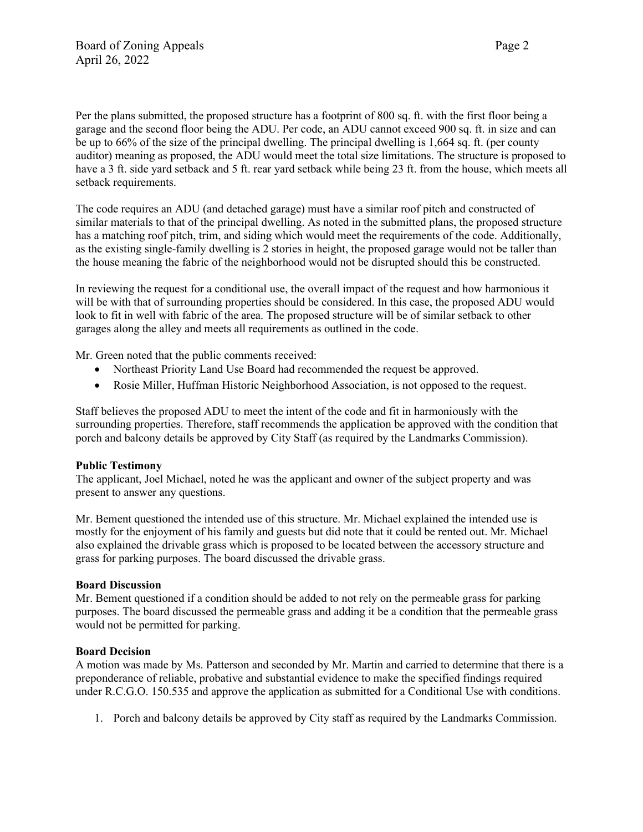Per the plans submitted, the proposed structure has a footprint of 800 sq. ft. with the first floor being a garage and the second floor being the ADU. Per code, an ADU cannot exceed 900 sq. ft. in size and can be up to 66% of the size of the principal dwelling. The principal dwelling is 1,664 sq. ft. (per county auditor) meaning as proposed, the ADU would meet the total size limitations. The structure is proposed to have a 3 ft. side yard setback and 5 ft. rear yard setback while being 23 ft. from the house, which meets all setback requirements.

The code requires an ADU (and detached garage) must have a similar roof pitch and constructed of similar materials to that of the principal dwelling. As noted in the submitted plans, the proposed structure has a matching roof pitch, trim, and siding which would meet the requirements of the code. Additionally, as the existing single-family dwelling is 2 stories in height, the proposed garage would not be taller than the house meaning the fabric of the neighborhood would not be disrupted should this be constructed.

In reviewing the request for a conditional use, the overall impact of the request and how harmonious it will be with that of surrounding properties should be considered. In this case, the proposed ADU would look to fit in well with fabric of the area. The proposed structure will be of similar setback to other garages along the alley and meets all requirements as outlined in the code.

Mr. Green noted that the public comments received:

- Northeast Priority Land Use Board had recommended the request be approved.
- Rosie Miller, Huffman Historic Neighborhood Association, is not opposed to the request.

Staff believes the proposed ADU to meet the intent of the code and fit in harmoniously with the surrounding properties. Therefore, staff recommends the application be approved with the condition that porch and balcony details be approved by City Staff (as required by the Landmarks Commission).

#### **Public Testimony**

The applicant, Joel Michael, noted he was the applicant and owner of the subject property and was present to answer any questions.

Mr. Bement questioned the intended use of this structure. Mr. Michael explained the intended use is mostly for the enjoyment of his family and guests but did note that it could be rented out. Mr. Michael also explained the drivable grass which is proposed to be located between the accessory structure and grass for parking purposes. The board discussed the drivable grass.

#### **Board Discussion**

Mr. Bement questioned if a condition should be added to not rely on the permeable grass for parking purposes. The board discussed the permeable grass and adding it be a condition that the permeable grass would not be permitted for parking.

#### **Board Decision**

A motion was made by Ms. Patterson and seconded by Mr. Martin and carried to determine that there is a preponderance of reliable, probative and substantial evidence to make the specified findings required under R.C.G.O. 150.535 and approve the application as submitted for a Conditional Use with conditions.

1. Porch and balcony details be approved by City staff as required by the Landmarks Commission.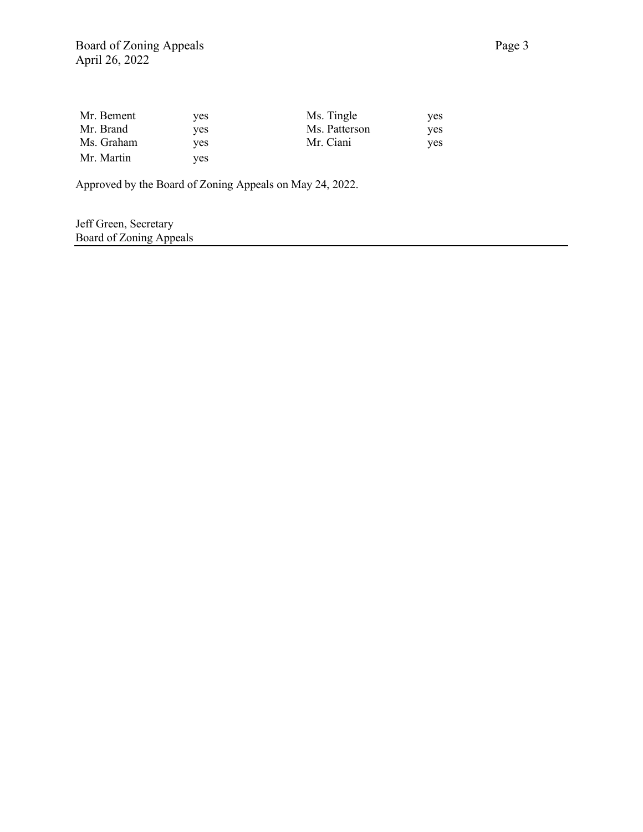| Mr. Bement | yes. | Ms. Tingle    | ves. |
|------------|------|---------------|------|
| Mr. Brand  | ves  | Ms. Patterson | ves. |
| Ms. Graham | yes. | Mr. Ciani     | yes. |
| Mr. Martin | yes. |               |      |

Approved by the Board of Zoning Appeals on May 24, 2022.

Jeff Green, Secretary Board of Zoning Appeals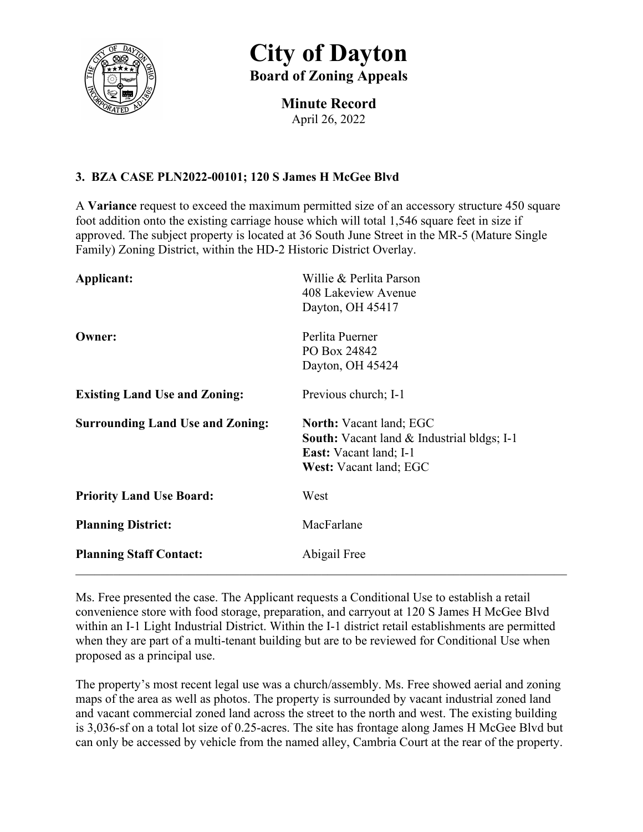

**Minute Record** April 26, 2022

## **3. BZA CASE PLN2022-00101; 120 S James H McGee Blvd**

A **Variance** request to exceed the maximum permitted size of an accessory structure 450 square foot addition onto the existing carriage house which will total 1,546 square feet in size if approved. The subject property is located at 36 South June Street in the MR-5 (Mature Single Family) Zoning District, within the HD-2 Historic District Overlay.

| Applicant:                              | Willie & Perlita Parson<br>408 Lakeview Avenue<br>Dayton, OH 45417                                                                                    |
|-----------------------------------------|-------------------------------------------------------------------------------------------------------------------------------------------------------|
| Owner:                                  | Perlita Puerner<br>PO Box 24842<br>Dayton, OH 45424                                                                                                   |
| <b>Existing Land Use and Zoning:</b>    | Previous church; I-1                                                                                                                                  |
| <b>Surrounding Land Use and Zoning:</b> | <b>North:</b> Vacant land; EGC<br><b>South:</b> Vacant land & Industrial bldgs; I-1<br><b>East:</b> Vacant land; I-1<br><b>West:</b> Vacant land; EGC |
| <b>Priority Land Use Board:</b>         | West                                                                                                                                                  |
| <b>Planning District:</b>               | MacFarlane                                                                                                                                            |
| <b>Planning Staff Contact:</b>          | Abigail Free                                                                                                                                          |

Ms. Free presented the case. The Applicant requests a Conditional Use to establish a retail convenience store with food storage, preparation, and carryout at 120 S James H McGee Blvd within an I-1 Light Industrial District. Within the I-1 district retail establishments are permitted when they are part of a multi-tenant building but are to be reviewed for Conditional Use when proposed as a principal use.

The property's most recent legal use was a church/assembly. Ms. Free showed aerial and zoning maps of the area as well as photos. The property is surrounded by vacant industrial zoned land and vacant commercial zoned land across the street to the north and west. The existing building is 3,036-sf on a total lot size of 0.25-acres. The site has frontage along James H McGee Blvd but can only be accessed by vehicle from the named alley, Cambria Court at the rear of the property.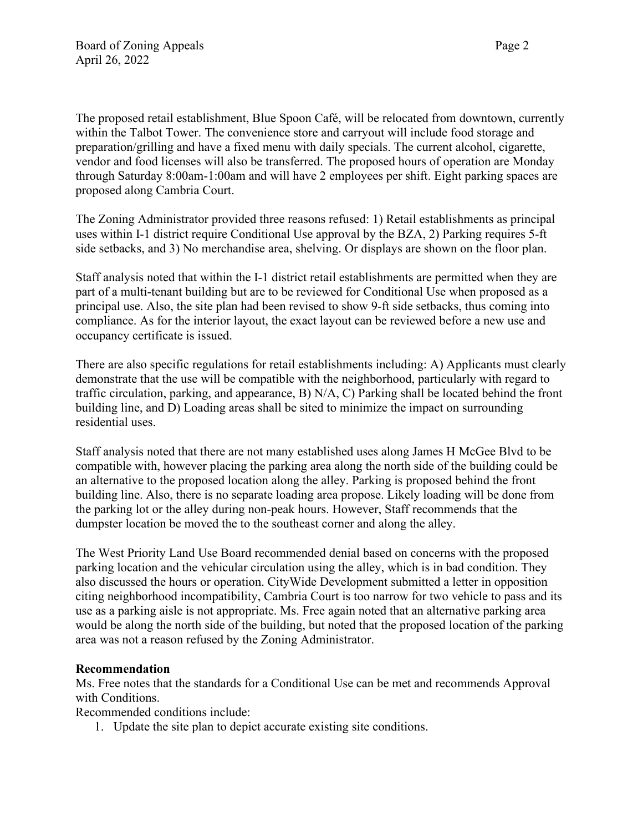The proposed retail establishment, Blue Spoon Café, will be relocated from downtown, currently within the Talbot Tower. The convenience store and carryout will include food storage and preparation/grilling and have a fixed menu with daily specials. The current alcohol, cigarette, vendor and food licenses will also be transferred. The proposed hours of operation are Monday through Saturday 8:00am-1:00am and will have 2 employees per shift. Eight parking spaces are proposed along Cambria Court.

The Zoning Administrator provided three reasons refused: 1) Retail establishments as principal uses within I-1 district require Conditional Use approval by the BZA, 2) Parking requires 5-ft side setbacks, and 3) No merchandise area, shelving. Or displays are shown on the floor plan.

Staff analysis noted that within the I-1 district retail establishments are permitted when they are part of a multi-tenant building but are to be reviewed for Conditional Use when proposed as a principal use. Also, the site plan had been revised to show 9-ft side setbacks, thus coming into compliance. As for the interior layout, the exact layout can be reviewed before a new use and occupancy certificate is issued.

There are also specific regulations for retail establishments including: A) Applicants must clearly demonstrate that the use will be compatible with the neighborhood, particularly with regard to traffic circulation, parking, and appearance, B) N/A, C) Parking shall be located behind the front building line, and D) Loading areas shall be sited to minimize the impact on surrounding residential uses.

Staff analysis noted that there are not many established uses along James H McGee Blvd to be compatible with, however placing the parking area along the north side of the building could be an alternative to the proposed location along the alley. Parking is proposed behind the front building line. Also, there is no separate loading area propose. Likely loading will be done from the parking lot or the alley during non-peak hours. However, Staff recommends that the dumpster location be moved the to the southeast corner and along the alley.

The West Priority Land Use Board recommended denial based on concerns with the proposed parking location and the vehicular circulation using the alley, which is in bad condition. They also discussed the hours or operation. CityWide Development submitted a letter in opposition citing neighborhood incompatibility, Cambria Court is too narrow for two vehicle to pass and its use as a parking aisle is not appropriate. Ms. Free again noted that an alternative parking area would be along the north side of the building, but noted that the proposed location of the parking area was not a reason refused by the Zoning Administrator.

## **Recommendation**

Ms. Free notes that the standards for a Conditional Use can be met and recommends Approval with Conditions.

Recommended conditions include:

1. Update the site plan to depict accurate existing site conditions.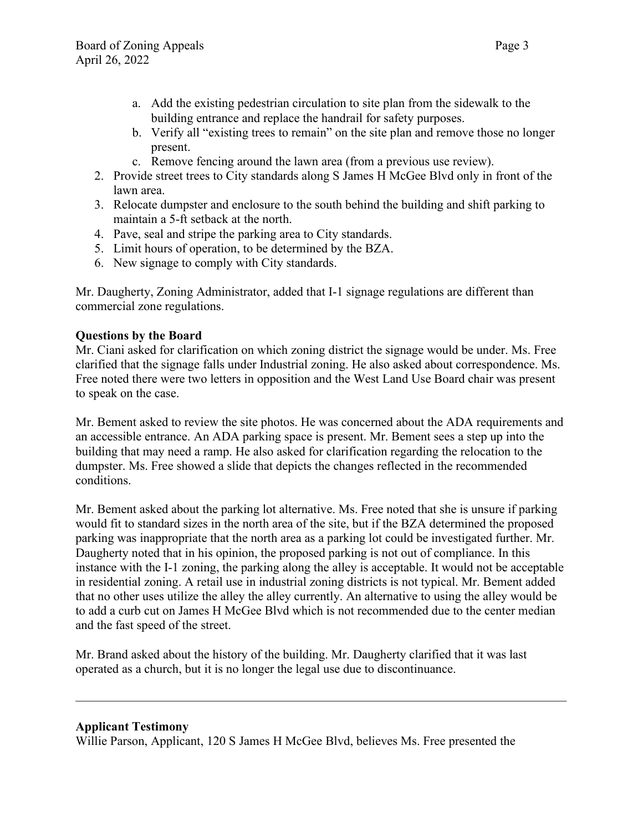- a. Add the existing pedestrian circulation to site plan from the sidewalk to the building entrance and replace the handrail for safety purposes.
- b. Verify all "existing trees to remain" on the site plan and remove those no longer present.
- c. Remove fencing around the lawn area (from a previous use review).
- 2. Provide street trees to City standards along S James H McGee Blvd only in front of the lawn area.
- 3. Relocate dumpster and enclosure to the south behind the building and shift parking to maintain a 5-ft setback at the north.
- 4. Pave, seal and stripe the parking area to City standards.
- 5. Limit hours of operation, to be determined by the BZA.
- 6. New signage to comply with City standards.

Mr. Daugherty, Zoning Administrator, added that I-1 signage regulations are different than commercial zone regulations.

## **Questions by the Board**

Mr. Ciani asked for clarification on which zoning district the signage would be under. Ms. Free clarified that the signage falls under Industrial zoning. He also asked about correspondence. Ms. Free noted there were two letters in opposition and the West Land Use Board chair was present to speak on the case.

Mr. Bement asked to review the site photos. He was concerned about the ADA requirements and an accessible entrance. An ADA parking space is present. Mr. Bement sees a step up into the building that may need a ramp. He also asked for clarification regarding the relocation to the dumpster. Ms. Free showed a slide that depicts the changes reflected in the recommended conditions.

Mr. Bement asked about the parking lot alternative. Ms. Free noted that she is unsure if parking would fit to standard sizes in the north area of the site, but if the BZA determined the proposed parking was inappropriate that the north area as a parking lot could be investigated further. Mr. Daugherty noted that in his opinion, the proposed parking is not out of compliance. In this instance with the I-1 zoning, the parking along the alley is acceptable. It would not be acceptable in residential zoning. A retail use in industrial zoning districts is not typical. Mr. Bement added that no other uses utilize the alley the alley currently. An alternative to using the alley would be to add a curb cut on James H McGee Blvd which is not recommended due to the center median and the fast speed of the street.

Mr. Brand asked about the history of the building. Mr. Daugherty clarified that it was last operated as a church, but it is no longer the legal use due to discontinuance.

### **Applicant Testimony**

Willie Parson, Applicant, 120 S James H McGee Blvd, believes Ms. Free presented the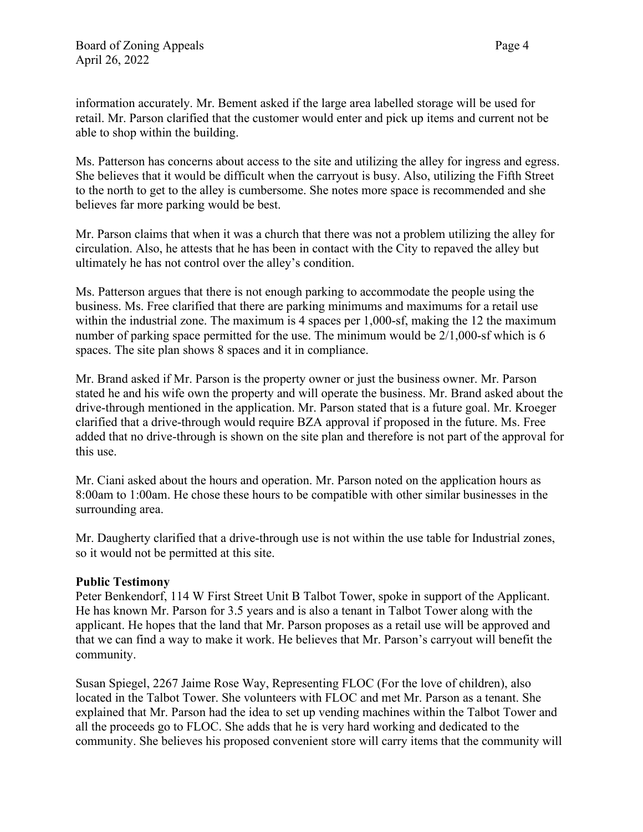information accurately. Mr. Bement asked if the large area labelled storage will be used for retail. Mr. Parson clarified that the customer would enter and pick up items and current not be able to shop within the building.

Ms. Patterson has concerns about access to the site and utilizing the alley for ingress and egress. She believes that it would be difficult when the carryout is busy. Also, utilizing the Fifth Street to the north to get to the alley is cumbersome. She notes more space is recommended and she believes far more parking would be best.

Mr. Parson claims that when it was a church that there was not a problem utilizing the alley for circulation. Also, he attests that he has been in contact with the City to repaved the alley but ultimately he has not control over the alley's condition.

Ms. Patterson argues that there is not enough parking to accommodate the people using the business. Ms. Free clarified that there are parking minimums and maximums for a retail use within the industrial zone. The maximum is 4 spaces per 1,000-sf, making the 12 the maximum number of parking space permitted for the use. The minimum would be 2/1,000-sf which is 6 spaces. The site plan shows 8 spaces and it in compliance.

Mr. Brand asked if Mr. Parson is the property owner or just the business owner. Mr. Parson stated he and his wife own the property and will operate the business. Mr. Brand asked about the drive-through mentioned in the application. Mr. Parson stated that is a future goal. Mr. Kroeger clarified that a drive-through would require BZA approval if proposed in the future. Ms. Free added that no drive-through is shown on the site plan and therefore is not part of the approval for this use.

Mr. Ciani asked about the hours and operation. Mr. Parson noted on the application hours as 8:00am to 1:00am. He chose these hours to be compatible with other similar businesses in the surrounding area.

Mr. Daugherty clarified that a drive-through use is not within the use table for Industrial zones, so it would not be permitted at this site.

## **Public Testimony**

Peter Benkendorf, 114 W First Street Unit B Talbot Tower, spoke in support of the Applicant. He has known Mr. Parson for 3.5 years and is also a tenant in Talbot Tower along with the applicant. He hopes that the land that Mr. Parson proposes as a retail use will be approved and that we can find a way to make it work. He believes that Mr. Parson's carryout will benefit the community.

Susan Spiegel, 2267 Jaime Rose Way, Representing FLOC (For the love of children), also located in the Talbot Tower. She volunteers with FLOC and met Mr. Parson as a tenant. She explained that Mr. Parson had the idea to set up vending machines within the Talbot Tower and all the proceeds go to FLOC. She adds that he is very hard working and dedicated to the community. She believes his proposed convenient store will carry items that the community will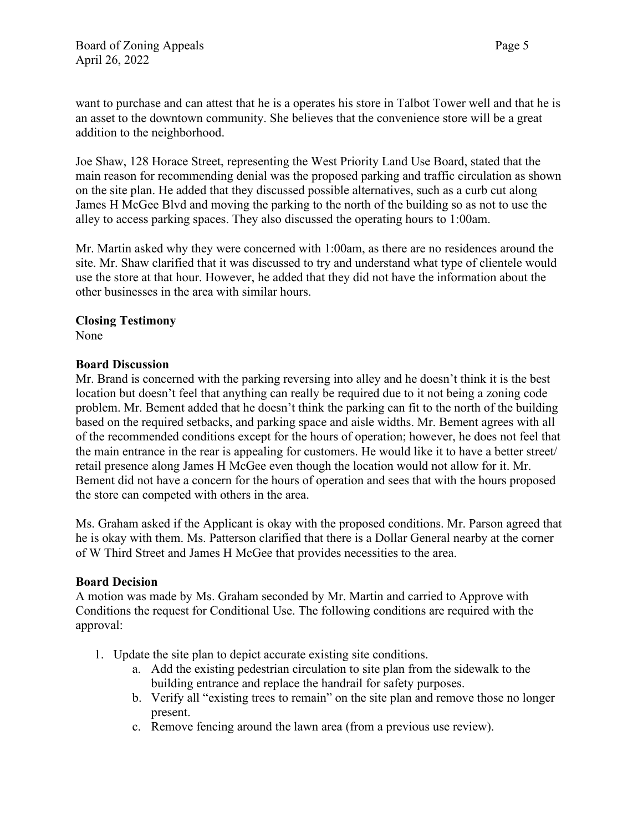want to purchase and can attest that he is a operates his store in Talbot Tower well and that he is an asset to the downtown community. She believes that the convenience store will be a great addition to the neighborhood.

Joe Shaw, 128 Horace Street, representing the West Priority Land Use Board, stated that the main reason for recommending denial was the proposed parking and traffic circulation as shown on the site plan. He added that they discussed possible alternatives, such as a curb cut along James H McGee Blvd and moving the parking to the north of the building so as not to use the alley to access parking spaces. They also discussed the operating hours to 1:00am.

Mr. Martin asked why they were concerned with 1:00am, as there are no residences around the site. Mr. Shaw clarified that it was discussed to try and understand what type of clientele would use the store at that hour. However, he added that they did not have the information about the other businesses in the area with similar hours.

## **Closing Testimony**

None

## **Board Discussion**

Mr. Brand is concerned with the parking reversing into alley and he doesn't think it is the best location but doesn't feel that anything can really be required due to it not being a zoning code problem. Mr. Bement added that he doesn't think the parking can fit to the north of the building based on the required setbacks, and parking space and aisle widths. Mr. Bement agrees with all of the recommended conditions except for the hours of operation; however, he does not feel that the main entrance in the rear is appealing for customers. He would like it to have a better street/ retail presence along James H McGee even though the location would not allow for it. Mr. Bement did not have a concern for the hours of operation and sees that with the hours proposed the store can competed with others in the area.

Ms. Graham asked if the Applicant is okay with the proposed conditions. Mr. Parson agreed that he is okay with them. Ms. Patterson clarified that there is a Dollar General nearby at the corner of W Third Street and James H McGee that provides necessities to the area.

### **Board Decision**

A motion was made by Ms. Graham seconded by Mr. Martin and carried to Approve with Conditions the request for Conditional Use. The following conditions are required with the approval:

- 1. Update the site plan to depict accurate existing site conditions.
	- a. Add the existing pedestrian circulation to site plan from the sidewalk to the building entrance and replace the handrail for safety purposes.
	- b. Verify all "existing trees to remain" on the site plan and remove those no longer present.
	- c. Remove fencing around the lawn area (from a previous use review).